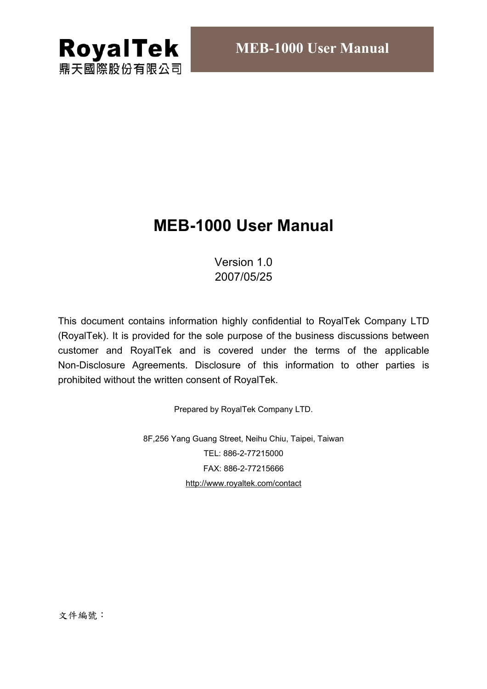

# **MEB-1000 User Manual**

## Version 1.0 2007/05/25

This document contains information highly confidential to RoyalTek Company LTD (RoyalTek). It is provided for the sole purpose of the business discussions between customer and RoyalTek and is covered under the terms of the applicable Non-Disclosure Agreements. Disclosure of this information to other parties is prohibited without the written consent of RoyalTek.

Prepared by RoyalTek Company LTD.

8F,256 Yang Guang Street, Neihu Chiu, Taipei, Taiwan TEL: 886-2-77215000 FAX: 886-2-77215666 http://www.royaltek.com/contact

文件編號: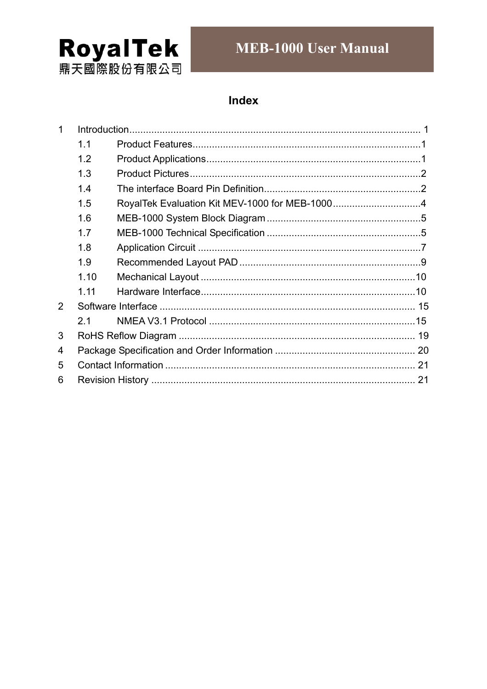

# **MEB-1000 User Manual**

## Index

| $\mathbf 1$ |      |  |  |  |  |  |
|-------------|------|--|--|--|--|--|
|             | 1.1  |  |  |  |  |  |
|             | 1.2  |  |  |  |  |  |
|             | 1.3  |  |  |  |  |  |
|             | 1.4  |  |  |  |  |  |
|             | 1.5  |  |  |  |  |  |
|             | 1.6  |  |  |  |  |  |
|             | 1.7  |  |  |  |  |  |
|             | 1.8  |  |  |  |  |  |
|             | 1.9  |  |  |  |  |  |
|             | 1.10 |  |  |  |  |  |
|             | 1.11 |  |  |  |  |  |
| 2           |      |  |  |  |  |  |
|             | 2.1  |  |  |  |  |  |
| 3           |      |  |  |  |  |  |
| 4           |      |  |  |  |  |  |
| 5           |      |  |  |  |  |  |
| 6           |      |  |  |  |  |  |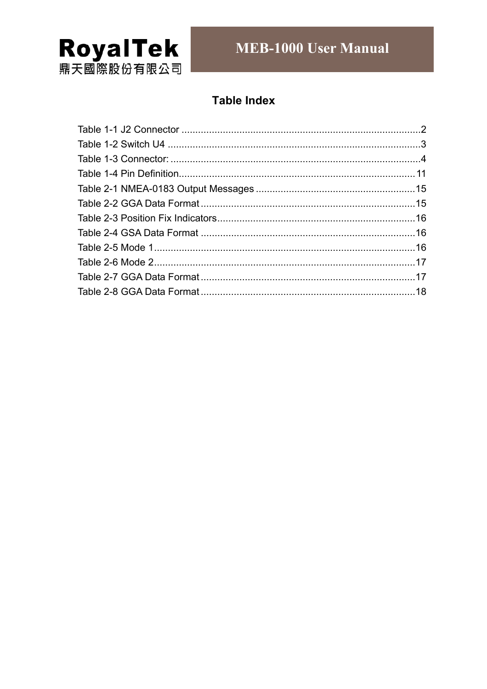

## **Table Index**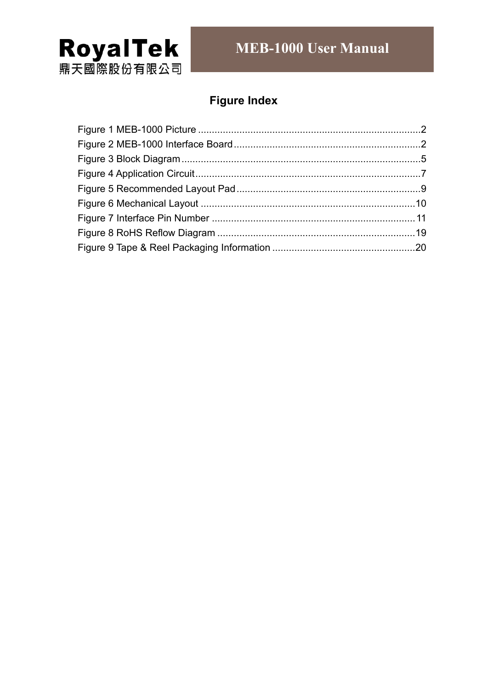

# **Figure Index**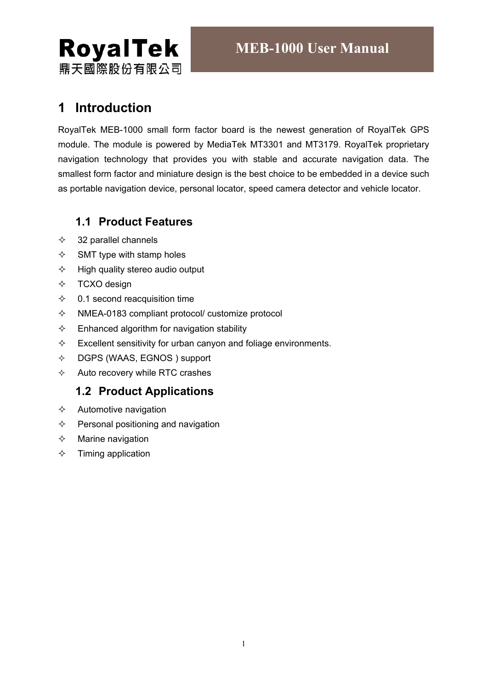

# **1 Introduction**

**RoyalTek** 

鼎天國際股份有限公司

RoyalTek MEB-1000 small form factor board is the newest generation of RoyalTek GPS module. The module is powered by MediaTek MT3301 and MT3179. RoyalTek proprietary navigation technology that provides you with stable and accurate navigation data. The smallest form factor and miniature design is the best choice to be embedded in a device such as portable navigation device, personal locator, speed camera detector and vehicle locator.

#### **1.1 Product Features**

- $\div$  32 parallel channels
- $\diamond$  SMT type with stamp holes
- $\div$  High quality stereo audio output
- $\div$  TCXO design
- $\div$  0.1 second reacquisition time
- $\Diamond$  NMEA-0183 compliant protocol/ customize protocol
- $\Diamond$  Enhanced algorithm for navigation stability
- $\Diamond$  Excellent sensitivity for urban canyon and foliage environments.
- $\lozenge$  DGPS (WAAS, EGNOS) support
- $\Diamond$  Auto recovery while RTC crashes

#### **1.2 Product Applications**

- $\Diamond$  Automotive navigation
- $\Diamond$  Personal positioning and navigation
- $\Leftrightarrow$  Marine navigation
- $\Leftrightarrow$  Timing application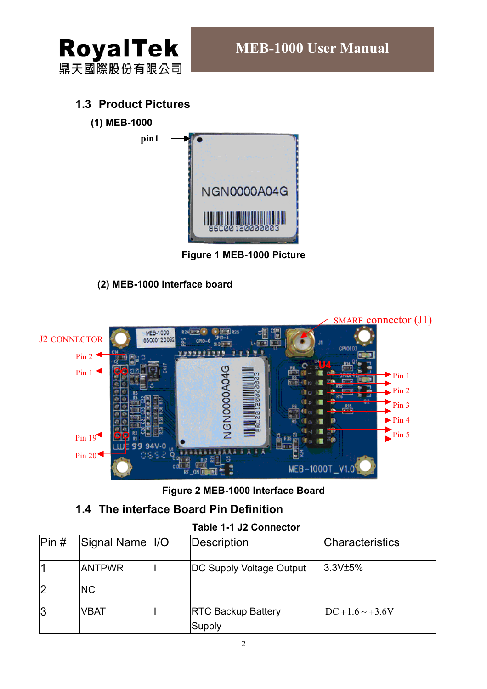

## **1.3 Product Pictures**

**pin1** 

**(1) MEB-1000**



**Figure 1 MEB-1000 Picture** 

### **(2) MEB-1000 Interface board**



**Figure 2 MEB-1000 Interface Board** 

## **1.4 The interface Board Pin Definition**

#### **Table 1-1 J2 Connector**

| Pin # | Signal Name  I/O | Description               | <b>Characteristics</b> |
|-------|------------------|---------------------------|------------------------|
|       | <b>ANTPWR</b>    | DC Supply Voltage Output  | 3.3V±5%                |
|       | <b>NC</b>        |                           |                        |
| Ι3    | <b>VBAT</b>      | <b>RTC Backup Battery</b> | $DC + 1.6 \sim +3.6V$  |
|       |                  | Supply                    |                        |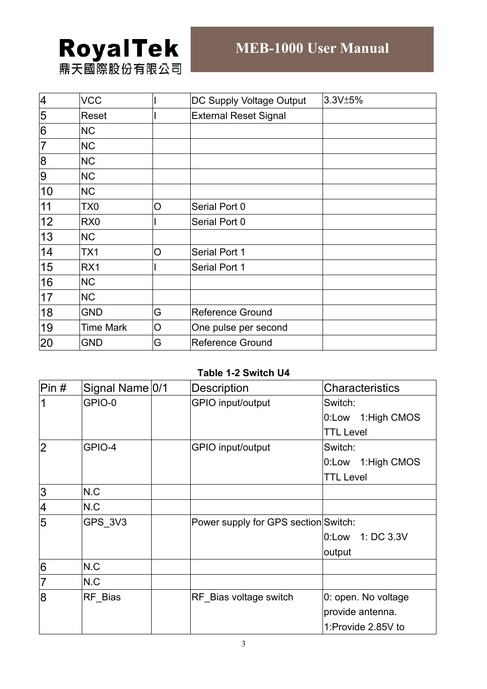# **RoyalTek** 鼎天國際股份有限公司

4 VCC | DC Supply Voltage Output 3.3V±5%<br>5 Reset | External Reset Signal Reset | Reset | External Reset Signal 6 NC  $7$  NC 8 | NC 9 NC 10 | NC 11 TX0 O Serial Port 0 12 RX0 | Serial Port 0 13 NC 14 TX1 O Serial Port 1 15 RX1 | Serial Port 1 16 NC 17 NC 18 GND G Reference Ground 19 Time Mark | O | One pulse per second 20 GND G Reference Ground

#### **Table 1-2 Switch U4**

| Pin#           | Signal Name 0/1 | <b>Description</b>                   | <b>Characteristics</b> |
|----------------|-----------------|--------------------------------------|------------------------|
|                | GPIO-0          | GPIO input/output                    | Switch:                |
|                |                 |                                      | 0:Low 1:High CMOS      |
|                |                 |                                      | <b>TTL Level</b>       |
| $\overline{2}$ | GPIO-4          | GPIO input/output                    | Switch:                |
|                |                 |                                      | 0:Low 1:High CMOS      |
|                |                 |                                      | <b>TTL Level</b>       |
| $\overline{3}$ | N.C             |                                      |                        |
| $\overline{4}$ | N.C             |                                      |                        |
| 5              | GPS 3V3         | Power supply for GPS section Switch: |                        |
|                |                 |                                      | 1: DC 3.3V<br>0:Low    |
|                |                 |                                      | output                 |
| 6              | N.C             |                                      |                        |
| $\overline{7}$ | N.C             |                                      |                        |
| $\overline{8}$ | RF Bias         | RF Bias voltage switch               | 0: open. No voltage    |
|                |                 |                                      | provide antenna.       |
|                |                 |                                      | 1:Provide 2.85V to     |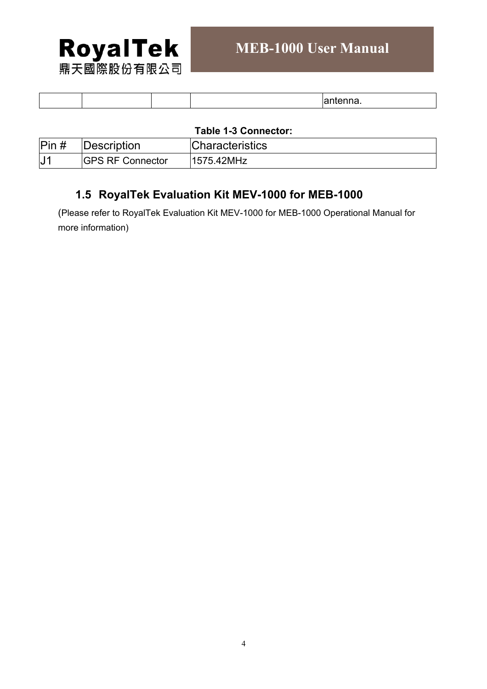

| . |  |
|---|--|
|---|--|

#### **Table 1-3 Connector:**

| $\text{Pin}\,\text{\#}$ | Description              | <b>Characteristics</b> |
|-------------------------|--------------------------|------------------------|
| ′ ل <sub>ا</sub>        | <b>IGPS RF Connector</b> | 1575.42MHz             |

# **1.5 RoyalTek Evaluation Kit MEV-1000 for MEB-1000**

(Please refer to RoyalTek Evaluation Kit MEV-1000 for MEB-1000 Operational Manual for more information)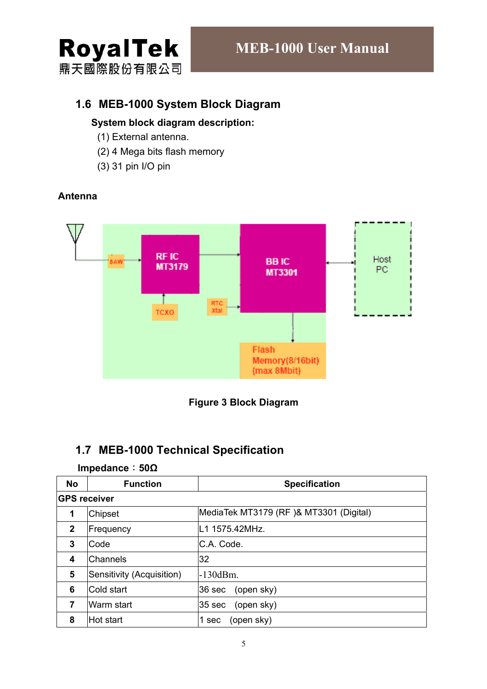

## **1.6 MEB-1000 System Block Diagram**

#### **System block diagram description:**

- (1) External antenna.
- (2) 4 Mega bits flash memory
- (3) 31 pin I/O pin

**Antenna** 

#### **RFIC** Host **BBIC** MT3179 PC. MT3301 Т RTC<br>Xtal тсхо Flash Memory(8/16bit) (max 8Mbit)



# **1.7 MEB-1000 Technical Specification**

#### **Impedance**:**50Ω**

| <b>No</b>           | <b>Function</b>           | <b>Specification</b>                   |  |  |
|---------------------|---------------------------|----------------------------------------|--|--|
| <b>GPS receiver</b> |                           |                                        |  |  |
| 1                   | Chipset                   | MediaTek MT3179 (RF)& MT3301 (Digital) |  |  |
| $\mathbf{2}$        | Frequency                 | L1 1575.42MHz.                         |  |  |
| 3                   | Code                      | C.A. Code.                             |  |  |
| 4                   | Channels                  | 32                                     |  |  |
| 5                   | Sensitivity (Acquisition) | $-130$ d $Bm$ .                        |  |  |
| 6                   | Cold start                | (open sky)<br>36 sec                   |  |  |
| 7                   | Warm start                | (open sky)<br>35 sec                   |  |  |
| 8                   | Hot start                 | (open sky)<br>1 sec                    |  |  |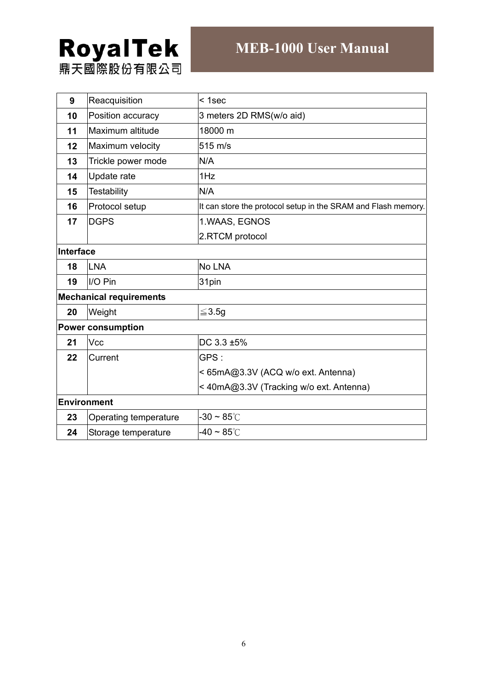# **RoyalTek**<br>鼎天國際股份有限公司

# **MEB-1000 User Manual**

| 9         | Reacquisition                  | $1sec$                                                        |  |  |
|-----------|--------------------------------|---------------------------------------------------------------|--|--|
| 10        | Position accuracy              | 3 meters 2D RMS(w/o aid)                                      |  |  |
| 11        | Maximum altitude               | 18000 m                                                       |  |  |
| 12        | Maximum velocity               | 515 m/s                                                       |  |  |
| 13        | Trickle power mode             | N/A                                                           |  |  |
| 14        | Update rate                    | 1Hz                                                           |  |  |
| 15        | <b>Testability</b>             | N/A                                                           |  |  |
| 16        | Protocol setup                 | It can store the protocol setup in the SRAM and Flash memory. |  |  |
| 17        | <b>DGPS</b>                    | 1.WAAS, EGNOS                                                 |  |  |
|           |                                | 2.RTCM protocol                                               |  |  |
| Interface |                                |                                                               |  |  |
| 18        | LNA                            | No LNA                                                        |  |  |
| 19        | II/O Pin                       | 31pin                                                         |  |  |
|           | <b>Mechanical requirements</b> |                                                               |  |  |
| 20        | Weight                         | ≤3.5g                                                         |  |  |
|           | <b>Power consumption</b>       |                                                               |  |  |
| 21        | Vcc                            | DC 3.3 ±5%                                                    |  |  |
| 22        | Current                        | GPS:                                                          |  |  |
|           |                                | <65mA@3.3V (ACQ w/o ext. Antenna)                             |  |  |
|           |                                | < 40mA@3.3V (Tracking w/o ext. Antenna)                       |  |  |
|           | Environment                    |                                                               |  |  |
| 23        | Operating temperature          | -30 $\sim$ 85 $^\circ$ C                                      |  |  |
| 24        | Storage temperature            | -40 $\sim$ 85 $^\circ$ C                                      |  |  |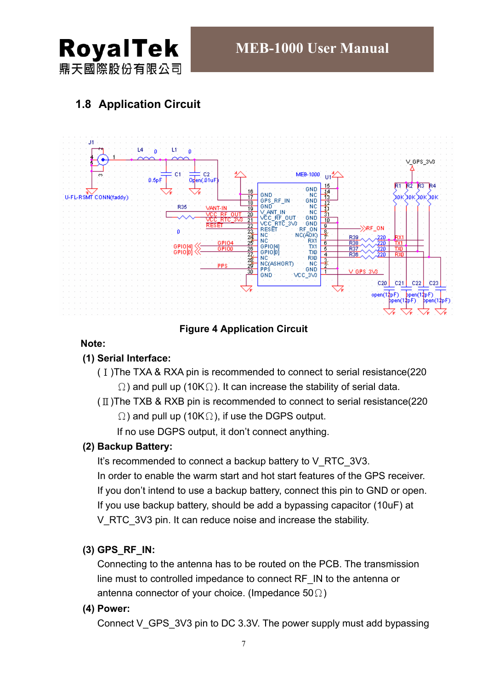

# **1.8 Application Circuit**



#### **Figure 4 Application Circuit**

#### **Note:**

#### **(1) Serial Interface:**

- (Ⅰ)The TXA & RXA pin is recommended to connect to serial resistance(220  $\Omega$ ) and pull up (10K $\Omega$ ). It can increase the stability of serial data.
- $(\Pi)$ The TXB & RXB pin is recommended to connect to serial resistance(220  $\Omega$ ) and pull up (10K $\Omega$ ), if use the DGPS output.

If no use DGPS output, it don't connect anything.

#### **(2) Backup Battery:**

It's recommended to connect a backup battery to V\_RTC\_3V3. In order to enable the warm start and hot start features of the GPS receiver. If you don't intend to use a backup battery, connect this pin to GND or open. If you use backup battery, should be add a bypassing capacitor (10uF) at V RTC 3V3 pin. It can reduce noise and increase the stability.

#### **(3) GPS\_RF\_IN:**

Connecting to the antenna has to be routed on the PCB. The transmission line must to controlled impedance to connect RF\_IN to the antenna or antenna connector of your choice. (Impedance  $50\Omega$ )

#### **(4) Power:**

Connect V\_GPS\_3V3 pin to DC 3.3V. The power supply must add bypassing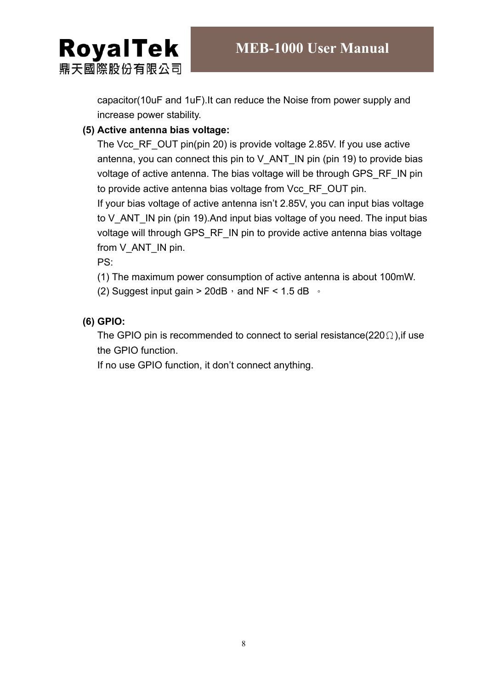**RoyalTek** 鼎天國際股份有限公司

> capacitor(10uF and 1uF).It can reduce the Noise from power supply and increase power stability.

#### **(5) Active antenna bias voltage:**

The Vcc\_RF\_OUT pin(pin 20) is provide voltage 2.85V. If you use active antenna, you can connect this pin to  $V$  ANT IN pin (pin 19) to provide bias voltage of active antenna. The bias voltage will be through GPS\_RF\_IN pin to provide active antenna bias voltage from Vcc\_RF\_OUT pin. If your bias voltage of active antenna isn't 2.85V, you can input bias voltage to V\_ANT\_IN pin (pin 19). And input bias voltage of you need. The input bias voltage will through GPS\_RF\_IN pin to provide active antenna bias voltage from V\_ANT\_IN pin.

PS:

(1) The maximum power consumption of active antenna is about 100mW.

(2) Suggest input gain > 20dB  $\cdot$  and NF < 1.5 dB  $\cdot$ 

#### **(6) GPIO:**

The GPIO pin is recommended to connect to serial resistance(220 $\Omega$ ), if use the GPIO function.

If no use GPIO function, it don't connect anything.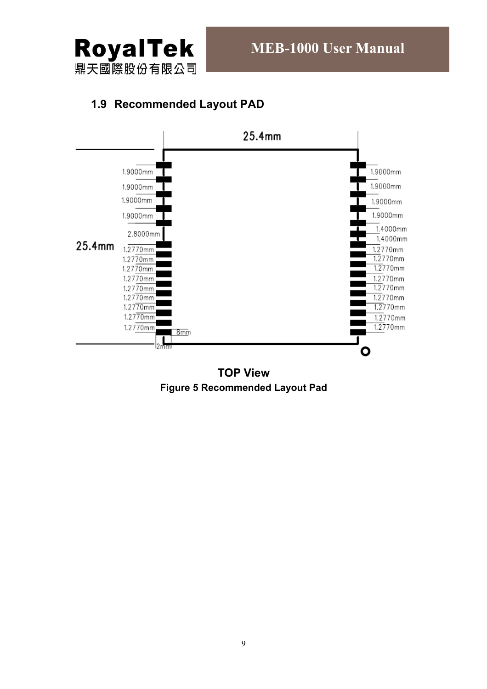

## **1.9 Recommended Layout PAD**



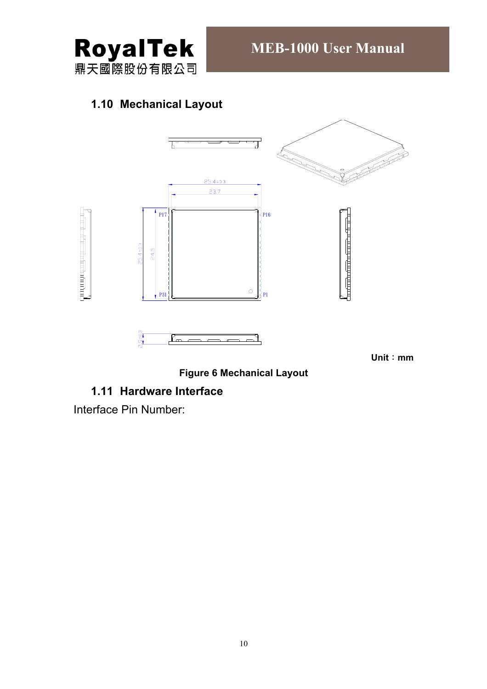

# **1.10 Mechanical Layout**



**Unit**:**mm** 

**Figure 6 Mechanical Layout** 

#### **1.11 Hardware Interface**

Interface Pin Number: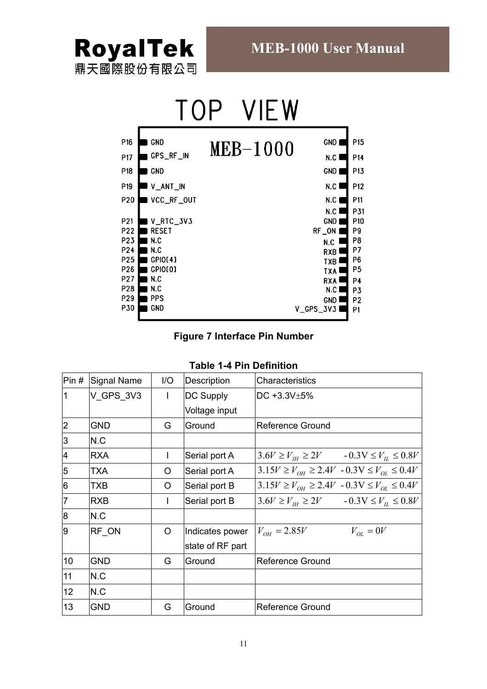

|     |              | IF W     |            |                 |
|-----|--------------|----------|------------|-----------------|
| P16 | <b>GND</b>   | MEB-1000 | GND        | P <sub>15</sub> |
| P17 | GPS_RF_IN    |          | N.C        | P14             |
| P18 | GND          |          | GND        | P <sub>13</sub> |
| P19 | V_ANT_IN     |          | N.C        | P12             |
| P20 | VCC_RF_OUT   |          | N.C        | P11             |
|     |              |          | N.C        | P31             |
| P21 | V_RTC_3V3    |          | GND        | P <sub>10</sub> |
| P22 | <b>RESET</b> |          | RF_ON      | P9              |
| P23 | N.C          |          | N.C        | P8              |
| P24 | N.C          |          | <b>RXB</b> | P7              |
| P25 | GPIO[4]      |          | TXB        | P6              |
| P26 | GPIO[0]      |          | TXA        | P <sub>5</sub>  |
| P27 | N.C          |          | <b>RXA</b> | <b>P4</b>       |
| P28 | N.C          |          | N.C        | P3              |
| P29 | PPS          |          | GND        | P <sub>2</sub>  |
| P30 | <b>GND</b>   |          | V_GPS_3V3  | P <sub>1</sub>  |
|     |              |          |            |                 |

#### **Figure 7 Interface Pin Number**

|  |  | Table 1-4 Pin Definition |
|--|--|--------------------------|
|--|--|--------------------------|

| Pin #          | Signal Name | 1/O | Description      | Characteristics                                        |
|----------------|-------------|-----|------------------|--------------------------------------------------------|
| 1              | V GPS 3V3   | L   | <b>DC Supply</b> | DC +3.3V $\pm$ 5%                                      |
|                |             |     | Voltage input    |                                                        |
| 2              | <b>GND</b>  | G   | Ground           | Reference Ground                                       |
| $\overline{3}$ | N.C         |     |                  |                                                        |
| 4              | <b>RXA</b>  |     | Serial port A    | $3.6V \ge V_H \ge 2V$ $-0.3V \le V_H \le 0.8V$         |
| 5              | <b>TXA</b>  | O   | Serial port A    | $3.15V \ge V_{OH} \ge 2.4V - 0.3V \le V_{OL} \le 0.4V$ |
| 6              | TXB         | O   | Serial port B    | $3.15V \ge V_{OH} \ge 2.4V - 0.3V \le V_{OH} \le 0.4V$ |
| $\overline{7}$ | <b>RXB</b>  |     | Serial port B    | $3.6V \ge V_{H} \ge 2V$ $-0.3V \le V_{H} \le 0.8V$     |
| 8              | N.C         |     |                  |                                                        |
| l9             | RF ON       | O   | Indicates power  | $V_{OH} = 2.85V$<br>$V_{OL} = 0V$                      |
|                |             |     | state of RF part |                                                        |
| 10             | <b>GND</b>  | G   | Ground           | Reference Ground                                       |
| 11             | N.C         |     |                  |                                                        |
| 12             | N.C         |     |                  |                                                        |
| 13             | <b>GND</b>  | G   | Ground           | Reference Ground                                       |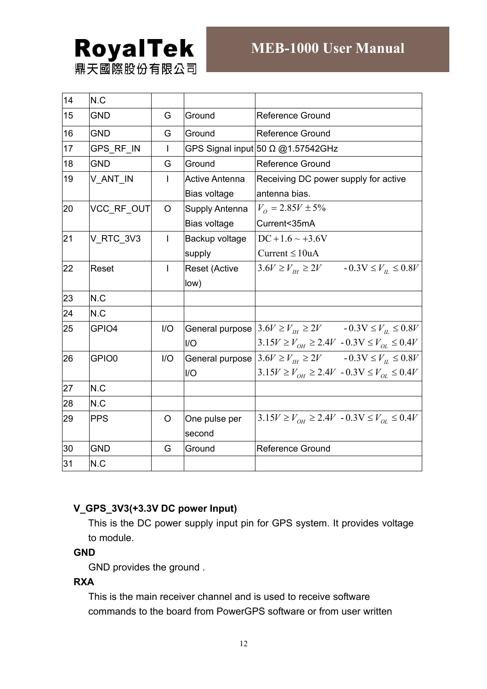# **RoyalTek** 鼎天國際股份有限公司

| 14 | N.C        |     |                       |                                                                 |
|----|------------|-----|-----------------------|-----------------------------------------------------------------|
| 15 | <b>GND</b> | G   | Ground                | Reference Ground                                                |
| 16 | <b>GND</b> | G   | Ground                | <b>Reference Ground</b>                                         |
| 17 | GPS_RF_IN  | I   |                       | GPS Signal input 50 $\Omega$ @1.57542GHz                        |
| 18 | <b>GND</b> | G   | Ground                | <b>Reference Ground</b>                                         |
| 19 | V_ANT_IN   | L   | <b>Active Antenna</b> | Receiving DC power supply for active                            |
|    |            |     | Bias voltage          | antenna bias.                                                   |
| 20 | VCC_RF_OUT | O   | <b>Supply Antenna</b> | $V_0 = 2.85V \pm 5\%$                                           |
|    |            |     | Bias voltage          | Current<35mA                                                    |
| 21 | V_RTC_3V3  | T   | Backup voltage        | $DC + 1.6 \sim +3.6V$                                           |
|    |            |     | supply                | Current $\leq 10$ uA                                            |
| 22 | Reset      | T   | <b>Reset (Active</b>  | $3.6V \ge V_H \ge 2V$ $-0.3V \le V_H \le 0.8V$                  |
|    |            |     | low)                  |                                                                 |
| 23 | N.C        |     |                       |                                                                 |
| 24 | N.C        |     |                       |                                                                 |
| 25 | GPIO4      | I/O |                       | General purpose $3.6V \ge V_H \ge 2V$ - $0.3V \le V_H \le 0.8V$ |
|    |            |     | I/O                   | $3.15V \ge V_{OH} \ge 2.4V - 0.3V \le V_{OL} \le 0.4V$          |
| 26 | GPIO0      | 1/O |                       | General purpose $3.6V \ge V_H \ge 2V$ $-0.3V \le V_H \le 0.8V$  |
|    |            |     | I/O                   | $3.15V \ge V_{OH} \ge 2.4V - 0.3V \le V_{OL} \le 0.4V$          |
| 27 | N.C        |     |                       |                                                                 |
| 28 | N.C        |     |                       |                                                                 |
| 29 | <b>PPS</b> | O   | One pulse per         | $3.15V \ge V_{OH} \ge 2.4V - 0.3V \le V_{OL} \le 0.4V$          |
|    |            |     | second                |                                                                 |
| 30 | <b>GND</b> | G   | Ground                | <b>Reference Ground</b>                                         |
| 31 | N.C        |     |                       |                                                                 |

#### **V\_GPS\_3V3(+3.3V DC power Input)**

This is the DC power supply input pin for GPS system. It provides voltage to module.

#### **GND**

GND provides the ground .

#### **RXA**

This is the main receiver channel and is used to receive software commands to the board from PowerGPS software or from user written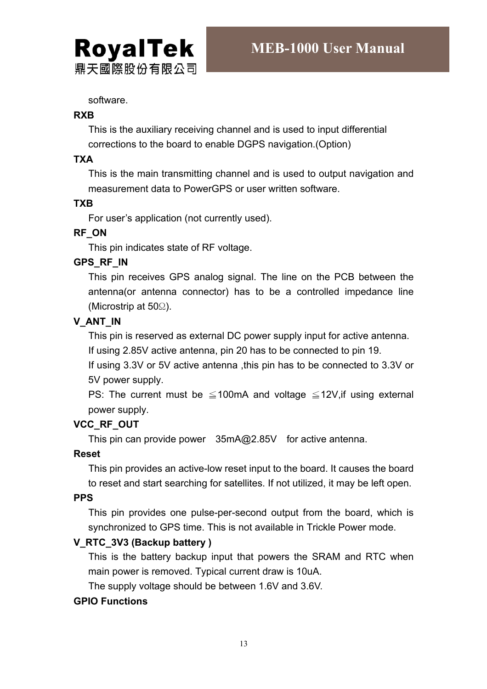software.

**RoyalTek** 

鼎天國際股份有限公司

#### **RXB**

This is the auxiliary receiving channel and is used to input differential corrections to the board to enable DGPS navigation.(Option)

#### **TXA**

This is the main transmitting channel and is used to output navigation and measurement data to PowerGPS or user written software.

#### **TXB**

For user's application (not currently used).

#### **RF\_ON**

This pin indicates state of RF voltage.

#### **GPS\_RF\_IN**

This pin receives GPS analog signal. The line on the PCB between the antenna(or antenna connector) has to be a controlled impedance line (Microstrip at 50Ω).

#### **V\_ANT\_IN**

This pin is reserved as external DC power supply input for active antenna.

If using 2.85V active antenna, pin 20 has to be connected to pin 19.

If using 3.3V or 5V active antenna ,this pin has to be connected to 3.3V or 5V power supply.

PS: The current must be  $\leq$  100mA and voltage  $\leq$  12V, if using external power supply.

#### **VCC\_RF\_OUT**

This pin can provide power 35mA@2.85V for active antenna.

#### **Reset**

This pin provides an active-low reset input to the board. It causes the board to reset and start searching for satellites. If not utilized, it may be left open.

#### **PPS**

This pin provides one pulse-per-second output from the board, which is synchronized to GPS time. This is not available in Trickle Power mode.

#### **V\_RTC\_3V3 (Backup battery )**

This is the battery backup input that powers the SRAM and RTC when main power is removed. Typical current draw is 10uA.

The supply voltage should be between 1.6V and 3.6V.

#### **GPIO Functions**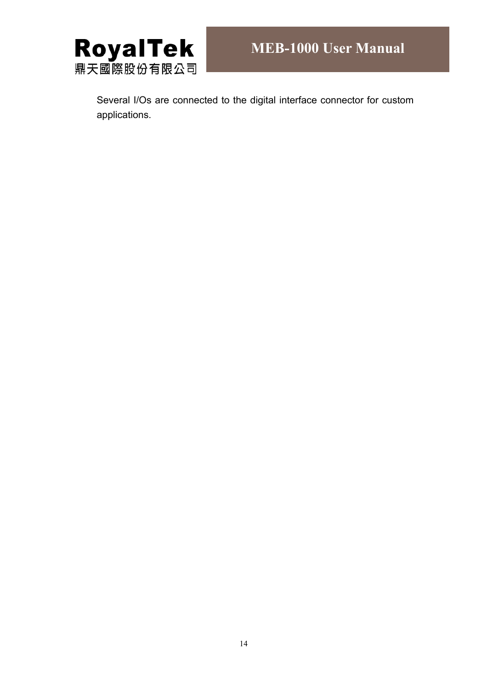

Several I/Os are connected to the digital interface connector for custom applications.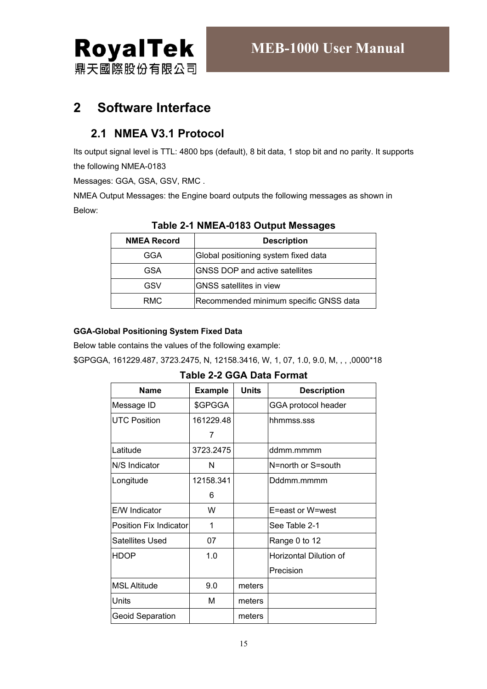鼎天國際股份有限公司

# **2 Software Interface**

# **2.1 NMEA V3.1 Protocol**

Its output signal level is TTL: 4800 bps (default), 8 bit data, 1 stop bit and no parity. It supports the following NMEA-0183

Messages: GGA, GSA, GSV, RMC .

NMEA Output Messages: the Engine board outputs the following messages as shown in Below:

| <b>NMEA Record</b> | <b>Description</b>                     |
|--------------------|----------------------------------------|
| GGA                | Global positioning system fixed data   |
| <b>GSA</b>         | <b>GNSS DOP and active satellites</b>  |
| GSV                | <b>GNSS</b> satellites in view         |
| RMC                | Recommended minimum specific GNSS data |

#### **Table 2-1 NMEA-0183 Output Messages**

#### **GGA-Global Positioning System Fixed Data**

Below table contains the values of the following example:

\$GPGGA, 161229.487, 3723.2475, N, 12158.3416, W, 1, 07, 1.0, 9.0, M, , , ,0000\*18

**Table 2-2 GGA Data Format** 

| <b>Name</b>             | <b>Example</b> | <b>Units</b> | <b>Description</b>     |
|-------------------------|----------------|--------------|------------------------|
| Message ID              | \$GPGGA        |              | GGA protocol header    |
| <b>UTC Position</b>     | 161229.48      |              | hhmmss.sss             |
|                         | 7              |              |                        |
| Latitude                | 3723.2475      |              | ddmm.mmmm              |
| N/S Indicator           | N              |              | N=north or S=south     |
| Longitude               | 12158.341      |              | Dddmm.mmmm             |
|                         | 6              |              |                        |
| E/W Indicator           | W              |              | E=east or W=west       |
| Position Fix Indicator  | 1              |              | See Table 2-1          |
| <b>Satellites Used</b>  | 07             |              | Range 0 to 12          |
| <b>HDOP</b>             | 1.0            |              | Horizontal Dilution of |
|                         |                |              | Precision              |
| <b>MSL Altitude</b>     | 9.0            | meters       |                        |
| <b>Units</b>            | M              | meters       |                        |
| <b>Geoid Separation</b> |                | meters       |                        |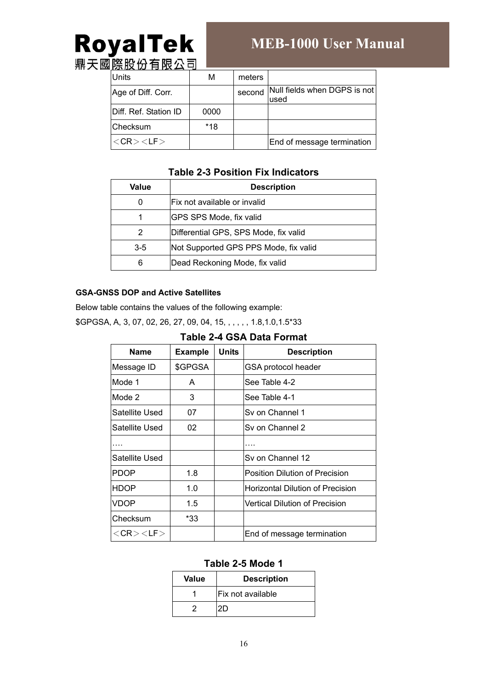# RoyalTek **鼎天國<u>際股份有限公</u>司**

# **MEB-1000 User Manual**

Units M M meters Age of Diff. Corr. second Null fields when DGPS is not used Diff. Ref. Station ID | 0000 Checksum | \*18  $\langle CR \rangle$   $\langle LF \rangle$   $\qquad$   $\qquad$   $\qquad$   $\qquad$  End of message termination

#### **Table 2-3 Position Fix Indicators**

| Value                                            | <b>Description</b>                    |  |  |  |
|--------------------------------------------------|---------------------------------------|--|--|--|
| 0                                                | IFix not available or invalid         |  |  |  |
| 1                                                | <b>IGPS SPS Mode, fix valid</b>       |  |  |  |
| 2                                                | Differential GPS, SPS Mode, fix valid |  |  |  |
| Not Supported GPS PPS Mode, fix valid<br>$3 - 5$ |                                       |  |  |  |
| 6<br>Dead Reckoning Mode, fix valid              |                                       |  |  |  |

#### **GSA-GNSS DOP and Active Satellites**

Below table contains the values of the following example:

\$GPGSA, A, 3, 07, 02, 26, 27, 09, 04, 15, , , , , , 1.8,1.0,1.5\*33

|  |  |  | Table 2-4 GSA Data Format |
|--|--|--|---------------------------|
|--|--|--|---------------------------|

| <b>Name</b>           | <b>Example</b> | <b>Units</b> | <b>Description</b>                      |  |  |  |
|-----------------------|----------------|--------------|-----------------------------------------|--|--|--|
| Message ID            | \$GPGSA        |              | GSA protocol header                     |  |  |  |
| Mode 1                | A              |              | See Table 4-2                           |  |  |  |
| Mode 2                | 3              |              | See Table 4-1                           |  |  |  |
| Satellite Used        | 07             |              | Sy on Channel 1                         |  |  |  |
| Satellite Used        | 02             |              | Sv on Channel 2                         |  |  |  |
|                       |                |              |                                         |  |  |  |
| Satellite Used        |                |              | Sy on Channel 12                        |  |  |  |
| <b>PDOP</b>           | 1.8            |              | Position Dilution of Precision          |  |  |  |
| <b>HDOP</b>           | 1.0            |              | <b>Horizontal Dilution of Precision</b> |  |  |  |
| <b>VDOP</b>           | 1.5            |              | Vertical Dilution of Precision          |  |  |  |
| Checksum              | *33            |              |                                         |  |  |  |
| $<$ CR $>$ $<$ LF $>$ |                |              | End of message termination              |  |  |  |

#### **Table 2-5 Mode 1**

| Value | <b>Description</b>       |  |
|-------|--------------------------|--|
|       | <b>Fix not available</b> |  |
|       |                          |  |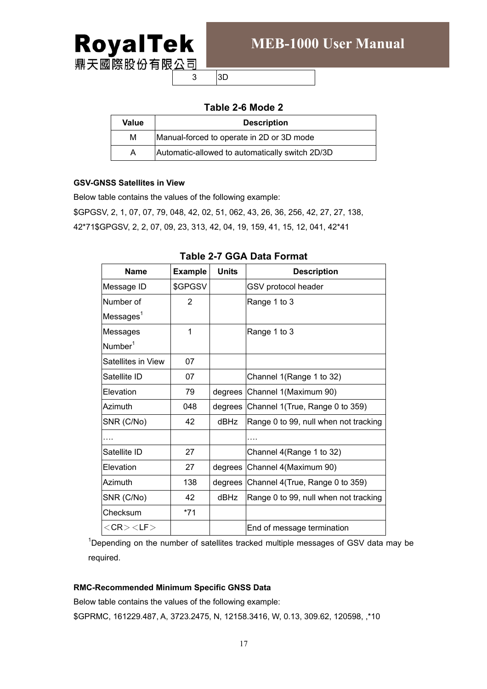

 $3$  3D

#### **Table 2-6 Mode 2**

| Value | <b>Description</b>                              |  |  |  |
|-------|-------------------------------------------------|--|--|--|
| М     | Manual-forced to operate in 2D or 3D mode       |  |  |  |
| А     | Automatic-allowed to automatically switch 2D/3D |  |  |  |

#### **GSV-GNSS Satellites in View**

Below table contains the values of the following example: \$GPGSV, 2, 1, 07, 07, 79, 048, 42, 02, 51, 062, 43, 26, 36, 256, 42, 27, 27, 138, 42\*71\$GPGSV, 2, 2, 07, 09, 23, 313, 42, 04, 19, 159, 41, 15, 12, 041, 42\*41

| <b>Name</b>              | <b>Example</b> | <b>Units</b> | <b>Description</b>                      |
|--------------------------|----------------|--------------|-----------------------------------------|
| Message ID               | \$GPGSV        |              | GSV protocol header                     |
| Number of                | $\overline{2}$ |              | Range 1 to 3                            |
| $M$ essages <sup>1</sup> |                |              |                                         |
| Messages                 | 1              |              | Range 1 to 3                            |
| Number <sup>1</sup>      |                |              |                                         |
| Satellites in View       | 07             |              |                                         |
| Satellite ID             | 07             |              | Channel 1(Range 1 to 32)                |
| Elevation                | 79             |              | degrees Channel 1 (Maximum 90)          |
| Azimuth                  | 048            |              | degrees Channel 1(True, Range 0 to 359) |
| SNR (C/No)               | 42             | dBHz         | Range 0 to 99, null when not tracking   |
|                          |                |              |                                         |
| Satellite ID             | 27             |              | Channel 4(Range 1 to 32)                |
| Elevation                | 27             |              | degrees Channel 4(Maximum 90)           |
| Azimuth                  | 138            |              | degrees Channel 4(True, Range 0 to 359) |
| SNR (C/No)               | 42             | <b>dBHz</b>  | Range 0 to 99, null when not tracking   |
| Checksum                 | $*71$          |              |                                         |
| $<$ CR $>$ $<$ LF $>$    |                |              | End of message termination              |

#### **Table 2-7 GGA Data Format**

<sup>1</sup>Depending on the number of satellites tracked multiple messages of GSV data may be required.

#### **RMC-Recommended Minimum Specific GNSS Data**

Below table contains the values of the following example:

\$GPRMC, 161229.487, A, 3723.2475, N, 12158.3416, W, 0.13, 309.62, 120598, ,\*10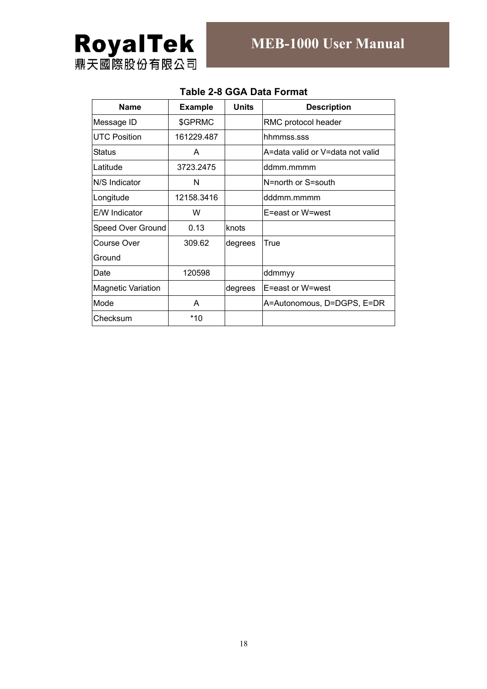| <b>Name</b>               | <b>Example</b> | <b>Units</b> | <b>Description</b>               |
|---------------------------|----------------|--------------|----------------------------------|
| Message ID                | \$GPRMC        |              | RMC protocol header              |
| <b>UTC Position</b>       | 161229.487     |              | hhmmss.sss                       |
| Status                    | A              |              | A=data valid or V=data not valid |
| Latitude                  | 3723.2475      |              | ddmm.mmmm                        |
| N/S Indicator             | N              |              | N=north or S=south               |
| Longitude                 | 12158.3416     |              | dddmm.mmmm                       |
| E/W Indicator             | W              |              | E=east or W=west                 |
| Speed Over Ground         | 0.13           | knots        |                                  |
| Course Over               | 309.62         | degrees      | True                             |
| Ground                    |                |              |                                  |
| Date                      | 120598         |              | ddmmyy                           |
| <b>Magnetic Variation</b> |                | degrees      | E=east or W=west                 |
| Mode                      | A              |              | A=Autonomous, D=DGPS, E=DR       |
| Checksum                  | *10            |              |                                  |

#### **Table 2-8 GGA Data Format**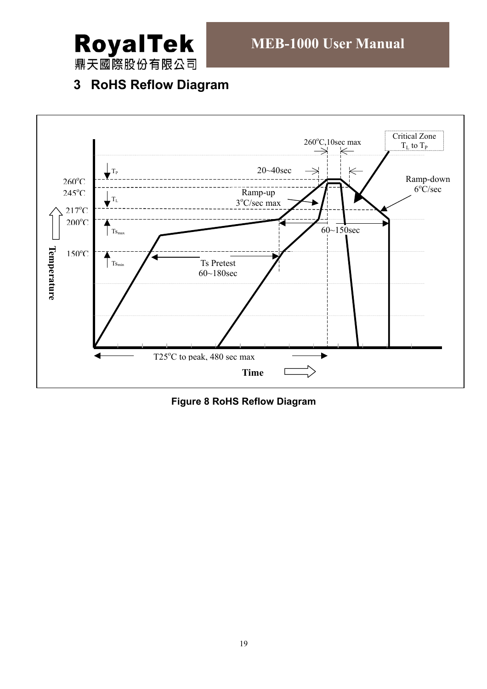

鼎天國際股份有限公司

# **3 RoHS Reflow Diagram**



**Figure 8 RoHS Reflow Diagram**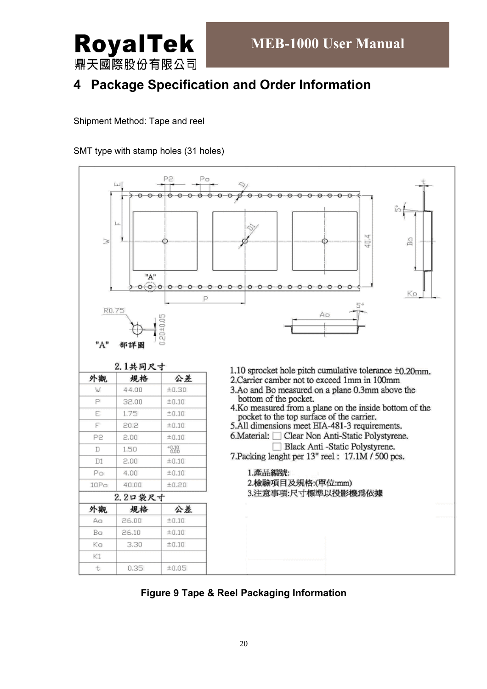

# **4 Package Specification and Order Information**

Shipment Method: Tape and reel

SMT type with stamp holes (31 holes)



**Figure 9 Tape & Reel Packaging Information**